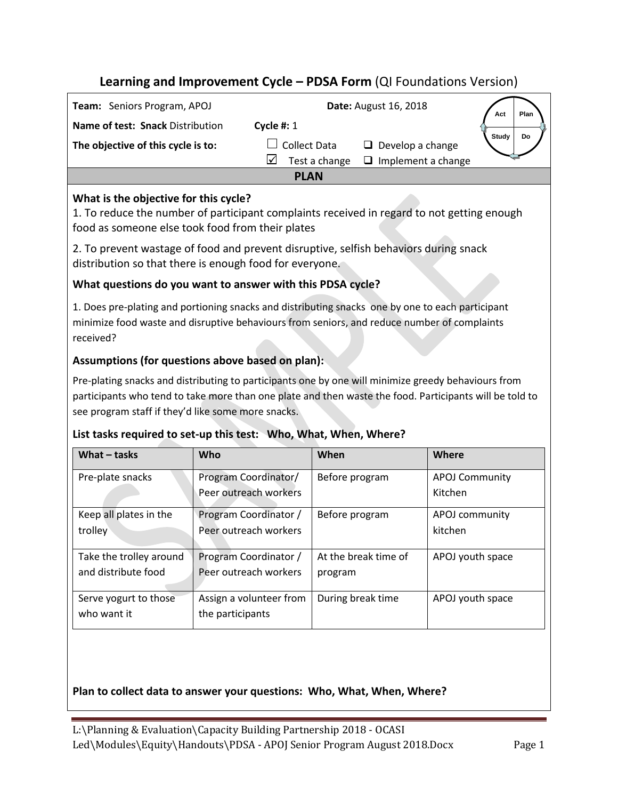# **Learning and Improvement Cycle – PDSA Form** (QI Foundations Version)

| Team: Seniors Program, APOJ        | <b>Date: August 16, 2018</b> |                           |       | Plan |
|------------------------------------|------------------------------|---------------------------|-------|------|
| Name of test: Snack Distribution   | Cycle #: $1$                 |                           |       |      |
| The objective of this cycle is to: | <b>Collect Data</b>          | $\Box$ Develop a change   | Study |      |
|                                    | Test a change<br>l√          | $\Box$ Implement a change |       |      |
|                                    | <b>PLAN</b>                  |                           |       |      |

## **What is the objective for this cycle?**

1. To reduce the number of participant complaints received in regard to not getting enough food as someone else took food from their plates

2. To prevent wastage of food and prevent disruptive, selfish behaviors during snack distribution so that there is enough food for everyone.

### **What questions do you want to answer with this PDSA cycle?**

1. Does pre-plating and portioning snacks and distributing snacks one by one to each participant minimize food waste and disruptive behaviours from seniors, and reduce number of complaints received?

## **Assumptions (for questions above based on plan):**

Pre-plating snacks and distributing to participants one by one will minimize greedy behaviours from participants who tend to take more than one plate and then waste the food. Participants will be told to see program staff if they'd like some more snacks.

## **List tasks required to set-up this test: Who, What, When, Where?**

| What $-$ tasks          | Who                     | When                 | Where                 |
|-------------------------|-------------------------|----------------------|-----------------------|
| Pre-plate snacks        | Program Coordinator/    | Before program       | <b>APOJ Community</b> |
|                         | Peer outreach workers   |                      | Kitchen               |
| Keep all plates in the  | Program Coordinator /   | Before program       | APOJ community        |
| trolley                 | Peer outreach workers   |                      | kitchen               |
| Take the trolley around | Program Coordinator /   | At the break time of | APOJ youth space      |
| and distribute food     | Peer outreach workers   | program              |                       |
| Serve yogurt to those   | Assign a volunteer from | During break time    | APOJ youth space      |
| who want it             | the participants        |                      |                       |

## **Plan to collect data to answer your questions: Who, What, When, Where?**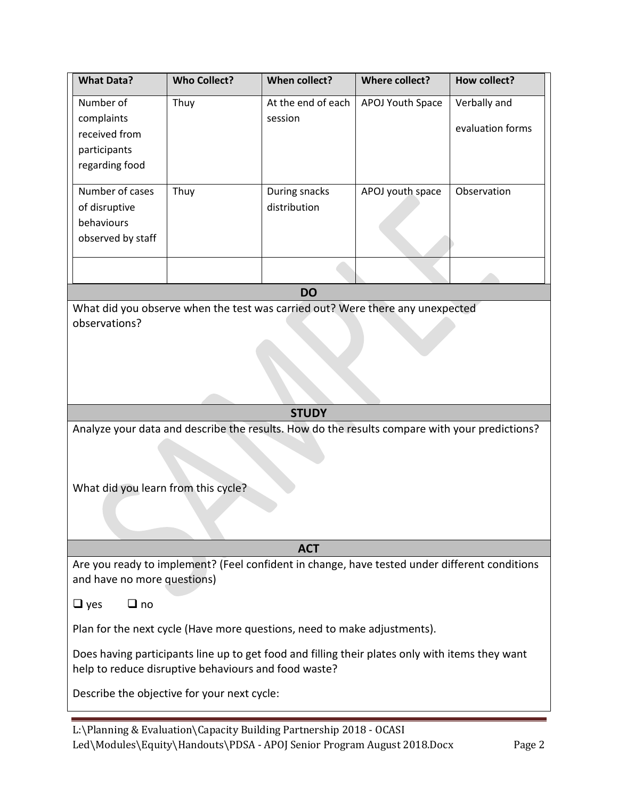| <b>What Data?</b>                                                                                                                                       | <b>Who Collect?</b> | <b>When collect?</b> | <b>Where collect?</b> | <b>How collect?</b> |  |  |  |
|---------------------------------------------------------------------------------------------------------------------------------------------------------|---------------------|----------------------|-----------------------|---------------------|--|--|--|
| Number of                                                                                                                                               | Thuy                | At the end of each   | APOJ Youth Space      | Verbally and        |  |  |  |
| complaints                                                                                                                                              |                     | session              |                       | evaluation forms    |  |  |  |
| received from                                                                                                                                           |                     |                      |                       |                     |  |  |  |
| participants                                                                                                                                            |                     |                      |                       |                     |  |  |  |
| regarding food                                                                                                                                          |                     |                      |                       |                     |  |  |  |
| Number of cases                                                                                                                                         | Thuy                | During snacks        | APOJ youth space      | Observation         |  |  |  |
| of disruptive                                                                                                                                           |                     | distribution         |                       |                     |  |  |  |
| behaviours                                                                                                                                              |                     |                      |                       |                     |  |  |  |
| observed by staff                                                                                                                                       |                     |                      |                       |                     |  |  |  |
|                                                                                                                                                         |                     |                      |                       |                     |  |  |  |
|                                                                                                                                                         |                     |                      |                       |                     |  |  |  |
|                                                                                                                                                         |                     | <b>DO</b>            |                       |                     |  |  |  |
| What did you observe when the test was carried out? Were there any unexpected<br>observations?                                                          |                     |                      |                       |                     |  |  |  |
|                                                                                                                                                         |                     |                      |                       |                     |  |  |  |
|                                                                                                                                                         |                     |                      |                       |                     |  |  |  |
|                                                                                                                                                         |                     |                      |                       |                     |  |  |  |
|                                                                                                                                                         |                     |                      |                       |                     |  |  |  |
|                                                                                                                                                         |                     |                      |                       |                     |  |  |  |
|                                                                                                                                                         |                     | <b>STUDY</b>         |                       |                     |  |  |  |
| Analyze your data and describe the results. How do the results compare with your predictions?                                                           |                     |                      |                       |                     |  |  |  |
|                                                                                                                                                         |                     |                      |                       |                     |  |  |  |
|                                                                                                                                                         |                     |                      |                       |                     |  |  |  |
| What did you learn from this cycle?                                                                                                                     |                     |                      |                       |                     |  |  |  |
|                                                                                                                                                         |                     |                      |                       |                     |  |  |  |
|                                                                                                                                                         |                     |                      |                       |                     |  |  |  |
|                                                                                                                                                         |                     |                      |                       |                     |  |  |  |
|                                                                                                                                                         |                     | <b>ACT</b>           |                       |                     |  |  |  |
| Are you ready to implement? (Feel confident in change, have tested under different conditions<br>and have no more questions)                            |                     |                      |                       |                     |  |  |  |
| $\Box$ no<br>$\Box$ yes                                                                                                                                 |                     |                      |                       |                     |  |  |  |
| Plan for the next cycle (Have more questions, need to make adjustments).                                                                                |                     |                      |                       |                     |  |  |  |
| Does having participants line up to get food and filling their plates only with items they want<br>help to reduce disruptive behaviours and food waste? |                     |                      |                       |                     |  |  |  |
| Describe the objective for your next cycle:                                                                                                             |                     |                      |                       |                     |  |  |  |
|                                                                                                                                                         |                     |                      |                       |                     |  |  |  |

L:\Planning & Evaluation\Capacity Building Partnership 2018 - OCASI Led\Modules\Equity\Handouts\PDSA - APOJ Senior Program August 2018.Docx Page 2